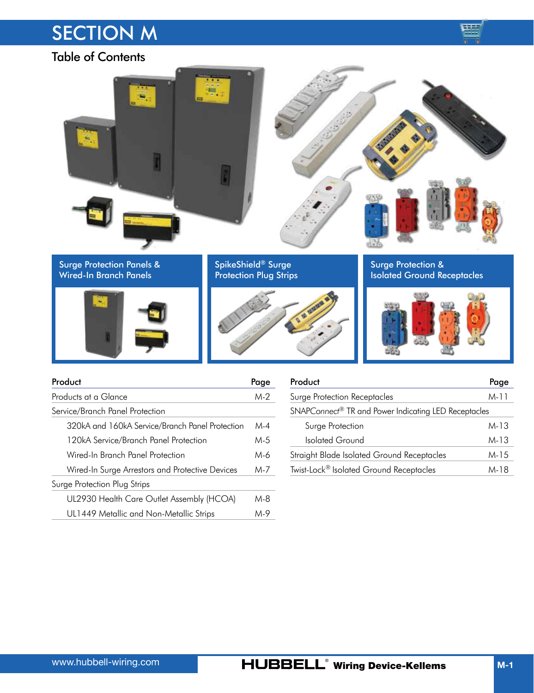# **SECTION M**



Table of Contents

| 扁                                                   |                                                     |                                                          |
|-----------------------------------------------------|-----------------------------------------------------|----------------------------------------------------------|
| Surge Protection Panels &<br>Wired-In Branch Panels | SpikeShield® Surge<br><b>Protection Plug Strips</b> | Surge Protection &<br><b>Isolated Ground Receptacles</b> |
|                                                     |                                                     |                                                          |

| Product                                         | Page  |
|-------------------------------------------------|-------|
| Products at a Glance                            | M-2   |
| Service/Branch Panel Protection                 |       |
| 320kA and 160kA Service/Branch Panel Protection | $M-4$ |
| 120kA Service/Branch Panel Protection           | M-5   |
| Wired-In Branch Panel Protection                | M-6   |
| Wired-In Surge Arrestors and Protective Devices | M-7   |
| Surge Protection Plug Strips                    |       |
| UL2930 Health Care Outlet Assembly (HCOA)       | M-8   |
| UL1449 Metallic and Non-Metallic Strips         | M-9   |

| Product                                              | Page |  |  |  |  |
|------------------------------------------------------|------|--|--|--|--|
| Surge Protection Receptacles                         |      |  |  |  |  |
| SNAPConnect® TR and Power Indicating LED Receptacles |      |  |  |  |  |
| Surge Protection                                     | M-13 |  |  |  |  |
| Isolated Ground                                      | M-13 |  |  |  |  |
| Straight Blade Isolated Ground Receptacles           | M-15 |  |  |  |  |
| Twist-Lock <sup>®</sup> Isolated Ground Receptacles  | M-18 |  |  |  |  |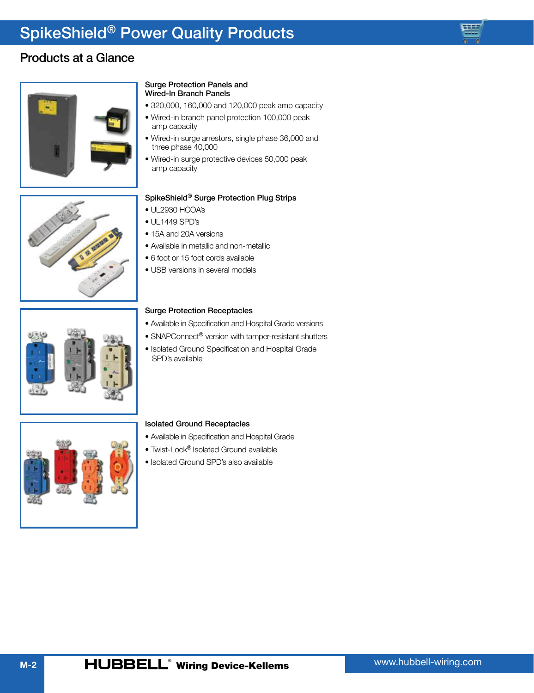## <span id="page-1-0"></span>Products at a Glance



#### Surge Protection Panels and Wired-In Branch Panels

- 320,000, 160,000 and 120,000 peak amp capacity
- Wired-in branch panel protection 100,000 peak amp capacity
- Wired-in surge arrestors, single phase 36,000 and three phase 40,000
- Wired-in surge protective devices 50,000 peak amp capacity

## SpikeShield® Surge Protection Plug Strips

- UL2930 HCOA's
- UL1449 SPD's
- 15A and 20A versions
- Available in metallic and non-metallic
- 6 foot or 15 foot cords available
- USB versions in several models



### Surge Protection Receptacles

- Available in Specification and Hospital Grade versions
- SNAPConnect<sup>®</sup> version with tamper-resistant shutters
- Isolated Ground Specification and Hospital Grade SPD's available



### Isolated Ground Receptacles

- Available in Specification and Hospital Grade
- Twist-Lock® Isolated Ground available
- Isolated Ground SPD's also available

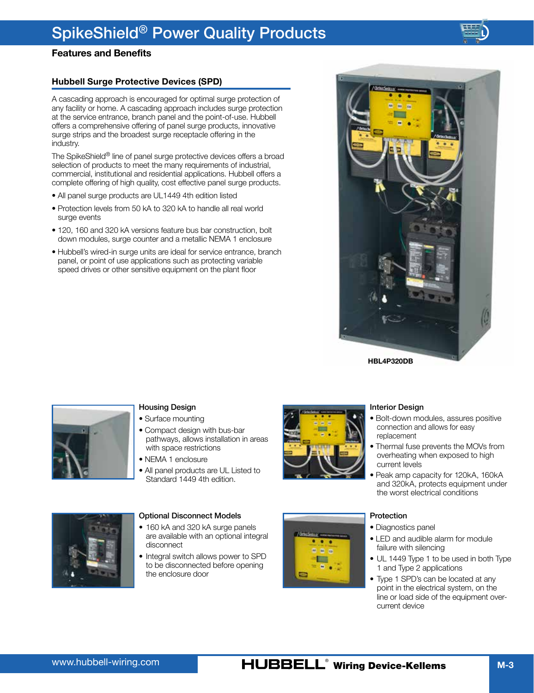## **Features and Benefits**

## **Hubbell Surge Protective Devices (SPD)**

A cascading approach is encouraged for optimal surge protection of any facility or home. A cascading approach includes surge protection at the service entrance, branch panel and the point-of-use. Hubbell offers a comprehensive offering of panel surge products, innovative surge strips and the broadest surge receptacle offering in the industry.

The SpikeShield® line of panel surge protective devices offers a broad selection of products to meet the many requirements of industrial, commercial, institutional and residential applications. Hubbell offers a complete offering of high quality, cost effective panel surge products.

- All panel surge products are UL1449 4th edition listed
- Protection levels from 50 kA to 320 kA to handle all real world surge events
- 120, 160 and 320 kA versions feature bus bar construction, bolt down modules, surge counter and a metallic NEMA 1 enclosure
- Hubbell's wired-in surge units are ideal for service entrance, branch panel, or point of use applications such as protecting variable speed drives or other sensitive equipment on the plant floor



**HBL4P320DB**



### Housing Design

• Surface mounting

- Compact design with bus-bar pathways, allows installation in areas with space restrictions
- NEMA 1 enclosure
- All panel products are UL Listed to Standard 1449 4th edition.





Interior Design

- connection and allows for easy replacement • Thermal fuse prevents the MOVs from
- overheating when exposed to high current levels
- Peak amp capacity for 120kA, 160kA and 320kA, protects equipment under the worst electrical conditions



- Diagnostics panel
- LED and audible alarm for module failure with silencing
- UL 1449 Type 1 to be used in both Type 1 and Type 2 applications
- Type 1 SPD's can be located at any point in the electrical system, on the line or load side of the equipment overcurrent device



#### Optional Disconnect Models

- 160 kA and 320 kA surge panels are available with an optional integral disconnect
- Integral switch allows power to SPD to be disconnected before opening the enclosure door



## www.hubbell-wiring.com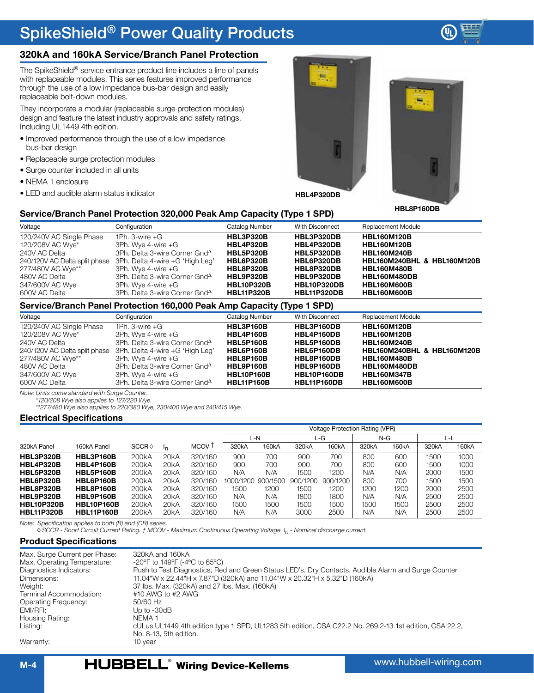<span id="page-3-0"></span>

The SpikeShield® service entrance product line includes a line of panels with replaceable modules. This series features improved performance through the use of a low impedance bus-bar design and easily replaceable bolt-down modules.

They incorporate a modular (replaceable surge protection modules) design and feature the latest industry approvals and safety ratings. Including UL1449 4th edition.

- Improved performance through the use of a low impedance bus-bar design
- Replaceable surge protection modules
- Surge counter included in all units
- NEMA 1 enclosure
- LED and audible alarm status indicator





## **Service/Branch Panel Protection 320,000 Peak Amp Capacity (Type 1 SPD)**

| Voltage                       | Configuration                             | Catalog Number    | With Disconnect    | <b>Replacement Module</b>   |
|-------------------------------|-------------------------------------------|-------------------|--------------------|-----------------------------|
| 120/240V AC Single Phase      | 1Ph. $3$ -wire $+G$                       | <b>HBL3P320B</b>  | HBL3P320DB         | <b>HBL160M120B</b>          |
| 120/208V AC Wye*              | 3Ph. Wye 4-wire +G                        | <b>HBL4P320B</b>  | HBL4P320DB         | <b>HBL160M120B</b>          |
| 240V AC Delta                 | 3Ph. Delta 3-wire Corner Gnd <sup>A</sup> | <b>HBL5P320B</b>  | HBL5P320DB         | <b>HBL160M240B</b>          |
| 240/120V AC Delta split phase | 3Ph. Delta 4-wire +G 'High Leg'           | <b>HBL6P320B</b>  | HBL6P320DB         | HBL160M240BHL & HBL160M120B |
| 277/480V AC Wye**             | 3Ph. Wye 4-wire +G                        | <b>HBL8P320B</b>  | HBL8P320DB         | <b>HBL160M480B</b>          |
| 480V AC Delta                 | 3Ph. Delta 3-wire Corner Gnd <sup>A</sup> | <b>HBL9P320B</b>  | HBL9P320DB         | <b>HBL160M480DB</b>         |
| 347/600V AC Wye               | 3Ph. Wye 4-wire +G                        | <b>HBL10P320B</b> | <b>HBL10P320DB</b> | <b>HBL160M600B</b>          |
| 600V AC Delta                 | 3Ph. Delta 3-wire Corner Gnd <sup>A</sup> | <b>HBL11P320B</b> | <b>HBL11P320DB</b> | HBL160M600B                 |

## **Service/Branch Panel Protection 160,000 Peak Amp Capacity (Type 1 SPD)**

| Voltage                       | Configuration                             | Catalog Number    | With Disconnect | <b>Replacement Module</b>   |
|-------------------------------|-------------------------------------------|-------------------|-----------------|-----------------------------|
| 120/240V AC Single Phase      | 1Ph. $3$ -wire $+G$                       | HBL3P160B         | HBL3P160DB      | <b>HBL160M120B</b>          |
| 120/208V AC Wye*              | 3Ph. Wye 4-wire +G                        | HBL4P160B         | HBL4P160DB      | <b>HBL160M120B</b>          |
| 240V AC Delta                 | 3Ph. Delta 3-wire Corner Gnd <sup>A</sup> | HBL5P160B         | HBL5P160DB      | <b>HBL160M240B</b>          |
| 240/120V AC Delta split phase | 3Ph. Delta 4-wire +G 'High Leg'           | HBL6P160B         | HBL6P160DB      | HBL160M240BHL & HBL160M120B |
| 277/480V AC Wye**             | 3Ph. Wye 4-wire +G                        | HBL8P160B         | HBL8P160DB      | <b>HBL160M480B</b>          |
| 480V AC Delta                 | 3Ph. Delta 3-wire Corner Gnd <sup>A</sup> | HBL9P160B         | HBL9P160DB      | <b>HBL160M480DB</b>         |
| 347/600V AC Wye               | 3Ph. Wye 4-wire +G                        | <b>HBL10P160B</b> | HBL10P160DB     | <b>HBL160M347B</b>          |
| 600V AC Delta                 | 3Ph. Delta 3-wire Corner Gnd <sup>A</sup> | <b>HBL11P160B</b> | HBL11P160DB     | HBL160M600B                 |
|                               |                                           |                   |                 |                             |

*Note: Units come standard with Surge Counter.*

*\*120/208 Wye also applies to 127/220 Wye.*

*\*\*277/480 Wye also applies to 220/380 Wye, 230/400 Wye and 240/415 Wye.*

#### **Electrical Specifications**

|                   |                   |                    |                   |                   |                    | <b>Voltage Protection Rating (VPR)</b> |          |          |                    |       |       |       |
|-------------------|-------------------|--------------------|-------------------|-------------------|--------------------|----------------------------------------|----------|----------|--------------------|-------|-------|-------|
|                   |                   |                    |                   |                   |                    | L-N                                    |          | L-G      | $N-G$              |       | L-L   |       |
| 320kA Panel       | 160kA Panel       | SCCR               | Ιn                | MCOV <sup>-</sup> | 320 <sub>k</sub> A | 160kA                                  | 320kA    | 160kA    | 320 <sub>k</sub> A | 160kA | 320kA | 160kA |
| <b>HBL3P320B</b>  | <b>HBL3P160B</b>  | 200 <sub>k</sub> A | 20kA              | 320/160           | 900                | 700                                    | 900      | 700      | 800                | 600   | 1500  | 1000  |
| <b>HBL4P320B</b>  | <b>HBL4P160B</b>  | 200 <sub>k</sub> A | 20kA              | 320/160           | 900                | 700                                    | 900      | 700      | 800                | 600   | 1500  | 1000  |
| <b>HBL5P320B</b>  | HBL5P160B         | 200 <sub>k</sub> A | 20kA              | 320/160           | N/A                | N/A                                    | 1500     | 1200     | N/A                | N/A   | 2000  | 1500  |
| <b>HBL6P320B</b>  | HBL6P160B         | 200 <sub>k</sub> A | 20kA              | 320/160           | 1000/1200          | 900/1500                               | 900/1200 | 900/1200 | 800                | 700   | 1500  | 1500  |
| <b>HBL8P320B</b>  | HBL8P160B         | 200 <sub>k</sub> A | 20kA              | 320/160           | 1500               | 1200                                   | 1500     | 1200     | 1200               | 1200  | 2000  | 2500  |
| HBL9P320B         | HBL9P160B         | 200 <sub>k</sub> A | 20 <sub>k</sub> A | 320/160           | N/A                | N/A                                    | 1800     | 1800     | N/A                | N/A   | 2500  | 2500  |
| <b>HBL10P320B</b> | <b>HBL10P160B</b> | 200 <sub>k</sub> A | 20 <sub>k</sub> A | 320/160           | 1500               | 1500                                   | 1500     | 1500     | 1500               | 1500  | 2500  | 2500  |
| <b>HBL11P320B</b> | <b>HBL11P160B</b> | 200 <sub>k</sub> A | 20kA              | 320/160           | N/A                | N/A                                    | 3000     | 2500     | N/A                | N/A   | 2500  | 2500  |

*Note: Specification applies to both (B) and (DB) series.*

*SCCR - Short Circuit Current Rating. † MCOV - Maximum Continuous Operating Voltage. In - Nominal discharge current.*

### **Product Specifications**

| Max. Surge Current per Phase: | 320kA and 160kA                                                                                        |
|-------------------------------|--------------------------------------------------------------------------------------------------------|
| Max. Operating Temperature:   | -20°F to 149°F (-4°C to 65°C)                                                                          |
| Diagnostics Indicators:       | Push to Test Diagnostics, Red and Green Status LED's. Dry Contacts, Audible Alarm and Surge Counter    |
| Dimensions:                   | 11.04"W x 22.44"H x 7.87"D (320kA) and 11.04"W x 20.32"H x 5.32"D (160kA)                              |
| Weight:                       | 37 lbs. Max. (320kA) and 27 lbs. Max. (160kA)                                                          |
| Terminal Accommodation:       | #10 AWG to #2 AWG                                                                                      |
| Operating Frequency:          | 50/60 Hz                                                                                               |
| FMI/RFI:                      | Up to $-30dB$                                                                                          |
| Housing Rating:               | NFMA 1                                                                                                 |
| Listing:                      | cULus UL1449 4th edition type 1 SPD, UL1283 5th edition, CSA C22.2 No. 269.2-13 1st edition, CSA 22.2, |
|                               | No. 8-13, 5th edition.                                                                                 |
| Warranty:                     | 10 year                                                                                                |
|                               |                                                                                                        |



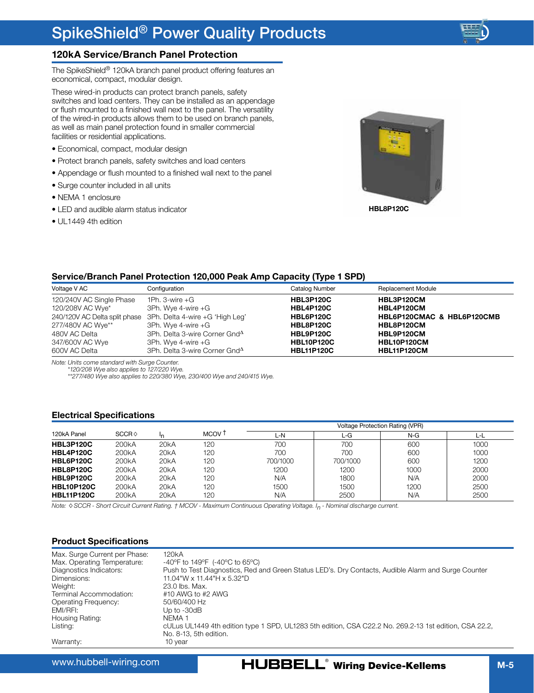## <span id="page-4-0"></span>**120kA Service/Branch Panel Protection**

The SpikeShield® 120kA branch panel product offering features an economical, compact, modular design.

These wired-in products can protect branch panels, safety switches and load centers. They can be installed as an appendage or flush mounted to a finished wall next to the panel. The versatility of the wired-in products allows them to be used on branch panels, as well as main panel protection found in smaller commercial facilities or residential applications.

- Economical, compact, modular design
- Protect branch panels, safety switches and load centers
- Appendage or flush mounted to a finished wall next to the panel
- Surge counter included in all units
- NEMA 1 enclosure
- LED and audible alarm status indicator
- UL1449 4th edition



### **Service/Branch Panel Protection 120,000 Peak Amp Capacity (Type 1 SPD)**

| Voltage V AC             | Configuration                                                 | Catalog Number    | <b>Replacement Module</b>  |
|--------------------------|---------------------------------------------------------------|-------------------|----------------------------|
| 120/240V AC Single Phase | 1Ph. 3-wire $+G$                                              | <b>HBL3P120C</b>  | HBL3P120CM                 |
| 120/208V AC Wye*         | 3Ph. Wye 4-wire +G                                            | <b>HBL4P120C</b>  | HBL4P120CM                 |
|                          | 240/120V AC Delta split phase 3Ph. Delta 4-wire +G 'High Leg' | <b>HBL6P120C</b>  | HBL6P120CMAC & HBL6P120CMB |
| 277/480V AC Wye**        | 3Ph. Wye 4-wire +G                                            | <b>HBL8P120C</b>  | HBL8P120CM                 |
| 480V AC Delta            | 3Ph. Delta 3-wire Corner Gnd <sup>A</sup>                     | HBL9P120C         | HBL9P120CM                 |
| 347/600V AC Wye          | 3Ph. Wye 4-wire +G                                            | <b>HBL10P120C</b> | HBL10P120CM                |
| 600V AC Delta            | 3Ph. Delta 3-wire Corner Gnd <sup>4</sup>                     | <b>HBL11P120C</b> | <b>HBL11P120CM</b>         |

*Note: Units come standard with Surge Counter.*

*\*120/208 Wye also applies to 127/220 Wye.*

*\*\*277/480 Wye also applies to 220/380 Wye, 230/400 Wye and 240/415 Wye.*

#### **Electrical Specifications**

|                   |                    |      |                   | <b>Voltage Protection Rating (VPR)</b> |          |      |      |  |
|-------------------|--------------------|------|-------------------|----------------------------------------|----------|------|------|--|
| 120kA Panel       | SCCR               |      | MCOV <sub>1</sub> | L-N                                    | L-G      | N-G  |      |  |
| HBL3P120C         | 200 <sub>k</sub> A | 20kA | 120               | 700                                    | 700      | 600  | 1000 |  |
| <b>HBL4P120C</b>  | 200 <sub>k</sub> A | 20kA | 120               | 700                                    | 700      | 600  | 1000 |  |
| HBL6P120C         | 200 <sub>k</sub> A | 20kA | 120               | 700/1000                               | 700/1000 | 600  | 1200 |  |
| HBL8P120C         | 200 <sub>k</sub> A | 20kA | 120               | 1200                                   | 1200     | 1000 | 2000 |  |
| HBL9P120C         | 200 <sub>k</sub> A | 20kA | 120               | N/A                                    | 1800     | N/A  | 2000 |  |
| <b>HBL10P120C</b> | 200 <sub>k</sub> A | 20kA | 120               | 1500                                   | 1500     | 1200 | 2500 |  |
| <b>HBL11P120C</b> | 200 <sub>k</sub> A | 20kA | 120               | N/A                                    | 2500     | N/A  | 2500 |  |

*Note: SCCR - Short Circuit Current Rating. † MCOV - Maximum Continuous Operating Voltage. In - Nominal discharge current.*

#### **Product Specifications**

| Max. Surge Current per Phase: | 120 <sub>k</sub> A                                                                                     |
|-------------------------------|--------------------------------------------------------------------------------------------------------|
| Max. Operating Temperature:   | -40°F to 149°F (-40°C to 65°C)                                                                         |
| Diagnostics Indicators:       | Push to Test Diagnostics, Red and Green Status LED's. Dry Contacts, Audible Alarm and Surge Counter    |
| Dimensions:                   | 11.04"W x 11.44"H x 5.32"D                                                                             |
| Weight:                       | 23.0 lbs. Max.                                                                                         |
| Terminal Accommodation:       | #10 AWG to #2 AWG                                                                                      |
| Operating Frequency:          | 50/60/400 Hz                                                                                           |
| EMI/RFI:                      | Up to $-30dB$                                                                                          |
| Housing Rating:               | NFMA 1                                                                                                 |
| Listing:                      | cULus UL1449 4th edition type 1 SPD, UL1283 5th edition, CSA C22.2 No. 269.2-13 1st edition, CSA 22.2, |
|                               | No. 8-13, 5th edition.                                                                                 |
| Warranty:                     | 10 vear                                                                                                |

www.hubbell-wiring.com

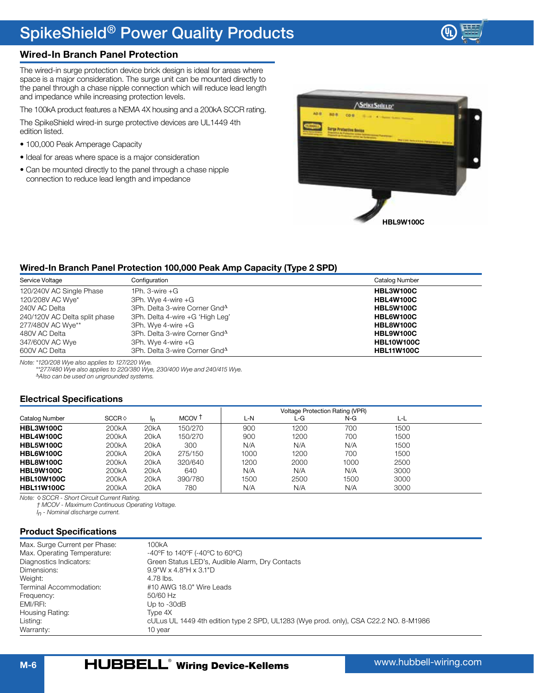

## <span id="page-5-0"></span>**Wired-In Branch Panel Protection**

The wired-in surge protection device brick design is ideal for areas where space is a major consideration. The surge unit can be mounted directly to the panel through a chase nipple connection which will reduce lead length and impedance while increasing protection levels.

The 100kA product features a NEMA 4X housing and a 200kA SCCR rating.

The SpikeShield wired-in surge protective devices are UL1449 4th edition listed.

- 100,000 Peak Amperage Capacity
- Ideal for areas where space is a major consideration
- Can be mounted directly to the panel through a chase nipple connection to reduce lead length and impedance



#### **Wired-In Branch Panel Protection 100,000 Peak Amp Capacity (Type 2 SPD)**

| Service Voltage               | Configuration                             | Catalog Number    |
|-------------------------------|-------------------------------------------|-------------------|
| 120/240V AC Single Phase      | 1Ph. $3$ -wire $+G$                       | HBL3W100C         |
| 120/208V AC Wye*              | 3Ph. Wye 4-wire +G                        | <b>HBL4W100C</b>  |
| 240V AC Delta                 | 3Ph. Delta 3-wire Corner Gnd <sup>4</sup> | <b>HBL5W100C</b>  |
| 240/120V AC Delta split phase | 3Ph. Delta 4-wire +G 'High Leg'           | HBL6W100C         |
| 277/480V AC Wye**             | 3Ph. Wye 4-wire +G                        | HBL8W100C         |
| 480V AC Delta                 | 3Ph. Delta 3-wire Corner Gnd <sup>4</sup> | HBL9W100C         |
| 347/600V AC Wye               | 3Ph. Wye 4-wire +G                        | <b>HBL10W100C</b> |
| 600V AC Delta                 | 3Ph. Delta 3-wire Corner Gnd <sup>4</sup> | <b>HBL11W100C</b> |

*Note: \*120/208 Wye also applies to 127/220 Wye. \*\*277/480 Wye also applies to 220/380 Wye, 230/400 Wye and 240/415 Wye. Also can be used on ungrounded systems.*

### **Electrical Specifications**

|                   |                    |      |                   |      | <b>Voltage Protection Rating (VPR)</b> |      |      |  |
|-------------------|--------------------|------|-------------------|------|----------------------------------------|------|------|--|
| Catalog Number    | SCCR               |      | MCOV <sub>T</sub> | L-N  | ∟-G                                    | N-G  | L-L  |  |
| <b>HBL3W100C</b>  | 200 <sub>k</sub> A | 20kA | 150/270           | 900  | 1200                                   | 700  | 1500 |  |
| <b>HBL4W100C</b>  | 200 <sub>k</sub> A | 20kA | 150/270           | 900  | 1200                                   | 700  | 1500 |  |
| HBL5W100C         | 200 <sub>k</sub> A | 20kA | 300               | N/A  | N/A                                    | N/A  | 1500 |  |
| HBL6W100C         | 200 <sub>k</sub> A | 20kA | 275/150           | 1000 | 1200                                   | 700  | 1500 |  |
| <b>HBL8W100C</b>  | 200 <sub>k</sub> A | 20kA | 320/640           | 1200 | 2000                                   | 1000 | 2500 |  |
| HBL9W100C         | 200 <sub>k</sub> A | 20kA | 640               | N/A  | N/A                                    | N/A  | 3000 |  |
| <b>HBL10W100C</b> | 200 <sub>k</sub> A | 20kA | 390/780           | 1500 | 2500                                   | 1500 | 3000 |  |
| <b>HBL11W100C</b> | 200 <sub>k</sub> A | 20kA | 780               | N/A  | N/A                                    | N/A  | 3000 |  |

*Note: SCCR - Short Circuit Current Rating.*

*† MCOV - Maximum Continuous Operating Voltage.*

*I n - Nominal discharge current.*

#### **Product Specifications**

| Max. Surge Current per Phase:<br>Max. Operating Temperature: | 100kA<br>-40°F to 140°F (-40°C to 60°C)                                              |
|--------------------------------------------------------------|--------------------------------------------------------------------------------------|
| Diagnostics Indicators:                                      | Green Status LED's, Audible Alarm, Dry Contacts                                      |
| Dimensions:                                                  | $9.9''$ W x 4.8"H x 3.1"D                                                            |
| Weight:                                                      | 4.78 lbs.                                                                            |
| Terminal Accommodation:                                      | #10 AWG 18.0" Wire Leads                                                             |
| Frequency:                                                   | 50/60 Hz                                                                             |
| FMI/RFI:                                                     | Up to $-30dB$                                                                        |
| Housing Rating:                                              | Tvpe 4X                                                                              |
| Listing:                                                     | cULus UL 1449 4th edition type 2 SPD, UL1283 (Wye prod. only), CSA C22.2 NO. 8-M1986 |
| Warranty:                                                    | 10 year                                                                              |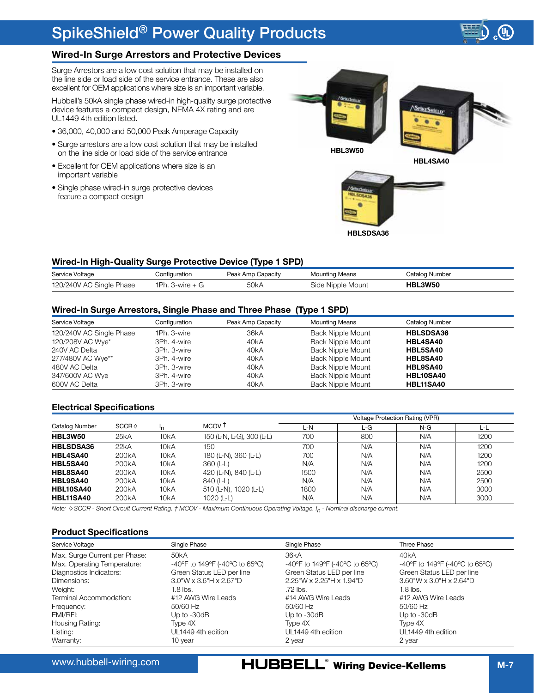

## <span id="page-6-0"></span>**Wired-In Surge Arrestors and Protective Devices**

Surge Arrestors are a low cost solution that may be installed on the line side or load side of the service entrance. These are also excellent for OEM applications where size is an important variable.

Hubbell's 50kA single phase wired-in high-quality surge protective device features a compact design, NEMA 4X rating and are UL1449 4th edition listed.

- 36,000, 40,000 and 50,000 Peak Amperage Capacity
- Surge arrestors are a low cost solution that may be installed on the line side or load side of the service entrance
- Excellent for OEM applications where size is an important variable
- Single phase wired-in surge protective devices feature a compact design



### **Wired-In High-Quality Surge Protective Device (Type 1 SPD)**

| Service Voltage          | Configuration     | Peak Amp Capacity | <b>Mounting Means</b> | Catalog Number |
|--------------------------|-------------------|-------------------|-----------------------|----------------|
| 120/240V AC Single Phase | 1Ph. 3-wire $+$ G | 50kA              | Side Nipple Mount     | <b>HBL3W50</b> |

#### **Wired-In Surge Arrestors, Single Phase and Three Phase (Type 1 SPD)**

| Service Voltage          | Configuration | Peak Amp Capacity | <b>Mounting Means</b> | Catalog Number   |  |
|--------------------------|---------------|-------------------|-----------------------|------------------|--|
| 120/240V AC Single Phase | 1Ph. 3-wire   | 36kA              | Back Nipple Mount     | <b>HBLSDSA36</b> |  |
| 120/208V AC Wye*         | 3Ph. 4-wire   | 40kA              | Back Nipple Mount     | HBL4SA40         |  |
| 240V AC Delta            | 3Ph. 3-wire   | 40kA              | Back Nipple Mount     | HBL5SA40         |  |
| 277/480V AC Wye**        | 3Ph. 4-wire   | 40kA              | Back Nipple Mount     | HBL8SA40         |  |
| 480V AC Delta            | 3Ph. 3-wire   | 40kA              | Back Nipple Mount     | HBL9SA40         |  |
| 347/600V AC Wye          | 3Ph. 4-wire   | 40kA              | Back Nipple Mount     | <b>HBL10SA40</b> |  |
| 600V AC Delta            | 3Ph. 3-wire   | 40kA              | Back Nipple Mount     | HBL11SA40        |  |

### **Electrical Specifications**

|                  |                    |                   |                           | <b>Voltage Protection Rating (VPR)</b> |     |       |      |  |  |
|------------------|--------------------|-------------------|---------------------------|----------------------------------------|-----|-------|------|--|--|
| Catalog Number   | SCCR               | ١n                | MCOV <sub>T</sub>         | L-N                                    | L-G | $N-G$ | ĿL   |  |  |
| <b>HBL3W50</b>   | 25kA               | 10 <sub>k</sub> A | 150 (L-N, L-G), 300 (L-L) | 700                                    | 800 | N/A   | 1200 |  |  |
| <b>HBLSDSA36</b> | 22kA               | 10kA              | 150                       | 700                                    | N/A | N/A   | 1200 |  |  |
| HBL4SA40         | 200 <sub>k</sub> A | 10kA              | 180 (L-N), 360 (L-L)      | 700                                    | N/A | N/A   | 1200 |  |  |
| HBL5SA40         | 200 <sub>k</sub> A | 10 <sub>k</sub> A | 360 (L-L)                 | N/A                                    | N/A | N/A   | 1200 |  |  |
| HBL8SA40         | 200 <sub>k</sub> A | 10 <sub>k</sub> A | 420 (L-N), 840 (L-L)      | 1500                                   | N/A | N/A   | 2500 |  |  |
| HBL9SA40         | 200 <sub>k</sub> A | 10 <sub>k</sub> A | 840 (L-L)                 | N/A                                    | N/A | N/A   | 2500 |  |  |
| HBL10SA40        | 200 <sub>k</sub> A | 10 <sub>k</sub> A | 510 (L-N), 1020 (L-L)     | 1800                                   | N/A | N/A   | 3000 |  |  |
| <b>HBL11SA40</b> | 200 <sub>k</sub> A | 10 <sub>k</sub> A | 1020 (L-L)                | N/A                                    | N/A | N/A   | 3000 |  |  |

*Note: SCCR - Short Circuit Current Rating. † MCOV - Maximum Continuous Operating Voltage. In - Nominal discharge current.*

#### **Product Specifications**

| Service Voltage               | Single Phase                    | Single Phase                   | Three Phase                      |
|-------------------------------|---------------------------------|--------------------------------|----------------------------------|
| Max. Surge Current per Phase: | 50 <sub>k</sub> A               | 36kA                           | 40 <sub>k</sub> A                |
| Max. Operating Temperature:   | -40°F to 149°F (-40°C to 65°C)  | -40°F to 149°F (-40°C to 65°C) | -40°F to 149°F (-40°C to 65°C)   |
| Diagnostics Indicators:       | Green Status LED per line       | Green Status LED per line      | Green Status LED per line        |
| Dimensions:                   | $3.0$ "W x $3.6$ "H x $2.67$ "D | $2.25$ "W x 2.25"H x 1.94"D    | $3.60$ "W x $3.0$ "H x $2.64$ "D |
| Weight:                       | $1.8$ lbs.                      | .72 lbs.                       | $1.8$ lbs.                       |
| Terminal Accommodation:       | #12 AWG Wire Leads              | #14 AWG Wire Leads             | #12 AWG Wire Leads               |
| Frequency:                    | 50/60 Hz                        | 50/60 Hz                       | $50/60$ Hz                       |
| EMI/RFI:                      | Up to $-30dB$                   | Up to $-30dB$                  | Up to $-30dB$                    |
| Housing Rating:               | Type 4X                         | Type 4X                        | Type 4X                          |
| Listing:                      | UI 1449 4th edition             | UI 1449 4th edition            | UI 1449 4th edition              |
| Warranty:                     | 10 year                         | 2 year                         | 2 year                           |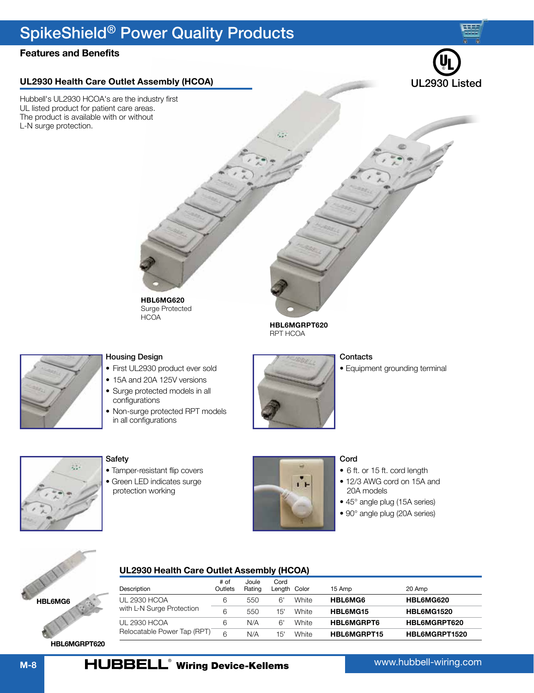## <span id="page-7-0"></span>**Features and Benefits**

## **UL2930 Health Care Outlet Assembly (HCOA)**

Hubbell's UL2930 HCOA's are the industry first UL listed product for patient care areas. The product is available with or without L-N surge protection.



## Housing Design

- First UL2930 product ever sold
- 15A and 20A 125V versions

**HCOA** 

- Surge protected models in all configurations
- Non-surge protected RPT models in all configurations



**HBL6MGRPT620** RPT HCOA

#### **Contacts**

• Equipment grounding terminal



### Safety

- Tamper-resistant flip covers
- Green LED indicates surge protection working



### Cord

- 6 ft. or 15 ft. cord length
- 12/3 AWG cord on 15A and 20A models
- 45° angle plug (15A series)
- 90° angle plug (20A series)



## **UL2930 Health Care Outlet Assembly (HCOA)**

| Description                               | # of<br>Outlets | Joule<br>Rating | Cord<br>Length Color |       | 15 Amp            | 20 Amp            |
|-------------------------------------------|-----------------|-----------------|----------------------|-------|-------------------|-------------------|
| UL 2930 HCOA<br>with L-N Surge Protection | 6               | 550             | 6'                   | White | HBL6MG6           | <b>HBL6MG620</b>  |
|                                           | 6               | 550             | 15'                  | White | <b>HBL6MG15</b>   | <b>HBL6MG1520</b> |
| UI 2930 HCOA                              | 6               | N/A             | 6'                   | White | <b>HBL6MGRPT6</b> | HBL6MGRPT620      |
| Relocatable Power Tap (RPT)               | 6               | N/A             | 15'                  | White | HBL6MGRPT15       | HBL6MGRPT1520     |

**HBL6MGRPT620**

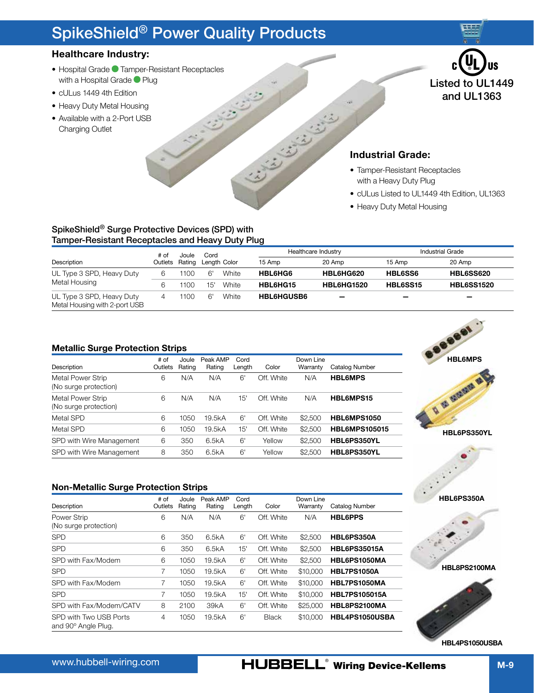## <span id="page-8-0"></span>**Healthcare Industry:**

- Hospital Grade Champer-Resistant Receptacles with a Hospital Grade <sup>P</sup>lug
- cULus 1449 4th Edition
- Heavy Duty Metal Housing
- Available with a 2-Port USB Charging Outlet



## **Industrial Grade:**

- Tamper-Resistant Receptacles with a Heavy Duty Plug
- cULus Listed to UL1449 4th Edition, UL1363
- Heavy Duty Metal Housing

## SpikeShield® Surge Protective Devices (SPD) with Tamper-Resistant Receptacles and Heavy Duty Plug

| # of                                                       |         | Joule  | Cord |              |                   | Healthcare Industry      |                 | <b>Industrial Grade</b>  |
|------------------------------------------------------------|---------|--------|------|--------------|-------------------|--------------------------|-----------------|--------------------------|
| Description                                                | Outlets | Rating |      | Length Color | 15 Amp            | 20 Amp                   | 15 Amp          | 20 Amp                   |
| UL Type 3 SPD, Heavy Duty                                  | 6.      | 1100   | 6'   | White        | HBL6HG6           | HBL6HG620                | <b>HBL6SS6</b>  | <b>HBL6SS620</b>         |
| Metal Housing                                              |         | 1100   | 15'  | White        | HBL6HG15          | <b>HBL6HG1520</b>        | <b>HBL6SS15</b> | <b>HBL6SS1520</b>        |
| UL Type 3 SPD, Heavy Duty<br>Metal Housing with 2-port USB |         | 1100   | 6'   | White        | <b>HBL6HGUSB6</b> | $\overline{\phantom{0}}$ | -               | $\overline{\phantom{0}}$ |

Simon Silver

### **Metallic Surge Protection Strips**

| Description                                | # of<br>Outlets | Joule<br>Rating | Peak AMP<br>Rating | Cord<br>Length | Color      | Down Line<br>Warranty | Catalog Number       |
|--------------------------------------------|-----------------|-----------------|--------------------|----------------|------------|-----------------------|----------------------|
| Metal Power Strip<br>(No surge protection) | 6               | N/A             | N/A                | 6'             | Off. White | N/A                   | <b>HBL6MPS</b>       |
| Metal Power Strip<br>(No surge protection) | 6               | N/A             | N/A                | 15'            | Off. White | N/A                   | HBL6MPS15            |
| Metal SPD                                  | 6               | 1050            | 19.5kA             | 6'             | Off. White | \$2,500               | <b>HBL6MPS1050</b>   |
| Metal SPD                                  | 6               | 1050            | 19.5kA             | 15'            | Off. White | \$2,500               | <b>HBL6MPS105015</b> |
| SPD with Wire Management                   | 6               | 350             | 6.5kA              | 6'             | Yellow     | \$2,500               | HBL6PS350YL          |
| SPD with Wire Management                   | 8               | 350             | 6.5kA              | 6'             | Yellow     | \$2,500               | HBL8PS350YL          |

**Non-Metallic Surge Protection Strips**

| Description                                   | # of<br>Outlets | Joule<br>Rating | Peak AMP<br>Rating | Cord<br>Length | Color        | Down Line<br>Warranty | Catalog Number       |
|-----------------------------------------------|-----------------|-----------------|--------------------|----------------|--------------|-----------------------|----------------------|
| Power Strip<br>(No surge protection)          | 6               | N/A             | N/A                | 6'             | Off. White   | N/A                   | <b>HBL6PPS</b>       |
| <b>SPD</b>                                    | 6               | 350             | 6.5kA              | 6'             | Off. White   | \$2,500               | HBL6PS350A           |
| <b>SPD</b>                                    | 6               | 350             | 6.5kA              | 15'            | Off. White   | \$2,500               | <b>HBL6PS35015A</b>  |
| SPD with Fax/Modem                            | 6               | 1050            | 19.5kA             | 6'             | Off. White   | \$2,500               | HBL6PS1050MA         |
| <b>SPD</b>                                    | 7               | 1050            | 19.5kA             | 6'             | Off. White   | \$10,000              | <b>HBL7PS1050A</b>   |
| SPD with Fax/Modem                            | 7               | 1050            | 19.5kA             | 6'             | Off. White   | \$10,000              | HBL7PS1050MA         |
| <b>SPD</b>                                    | 7               | 1050            | 19.5kA             | 15'            | Off. White   | \$10,000              | <b>HBL7PS105015A</b> |
| SPD with Fax/Modem/CATV                       | 8               | 2100            | 39kA               | 6'             | Off. White   | \$25,000              | HBL8PS2100MA         |
| SPD with Two USB Ports<br>and 90° Angle Plug. | 4               | 1050            | 19.5kA             | 6'             | <b>Black</b> | \$10,000              | HBL4PS1050USBA       |



**HBL6PS350A**



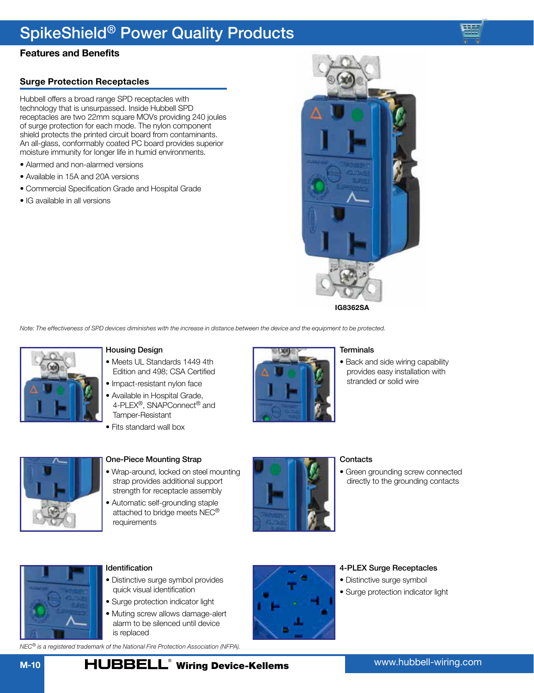## **Features and Benefits**

## **Surge Protection Receptacles**

Hubbell offers a broad range SPD receptacles with technology that is unsurpassed. Inside Hubbell SPD receptacles are two 22mm square MOVs providing 240 joules of surge protection for each mode. The nylon component shield protects the printed circuit board from contaminants. An all-glass, conformably coated PC board provides superior moisture immunity for longer life in humid environments.

- Alarmed and non-alarmed versions
- Available in 15A and 20A versions
- Commercial Specification Grade and Hospital Grade
- IG available in all versions



*Note: The effectiveness of SPD devices diminishes with the increase in distance between the device and the equipment to be protected.*



#### Housing Design

- Meets UL Standards 1449 4th Edition and 498; CSA Certified
- Impact-resistant nylon face
- Available in Hospital Grade, 4-PLEX®, SNAPConnect® and Tamper-Resistant
- Fits standard wall box



### One-Piece Mounting Strap

- Wrap-around, locked on steel mounting strap provides additional support strength for receptacle assembly
- Automatic self-grounding staple attached to bridge meets NEC® requirements



## **Contacts**

**Terminals** 

• Green grounding screw connected directly to the grounding contacts

• Back and side wiring capability provides easy installation with stranded or solid wire



#### Identification

- Distinctive surge symbol provides quick visual identification
- Surge protection indicator light
- Muting screw allows damage-alert alarm to be silenced until device is replaced

*NEC® is a registered trademark of the National Fire Protection Association (NFPA).*



#### 4-PLEX Surge Receptacles

- Distinctive surge symbol
- Surge protection indicator light

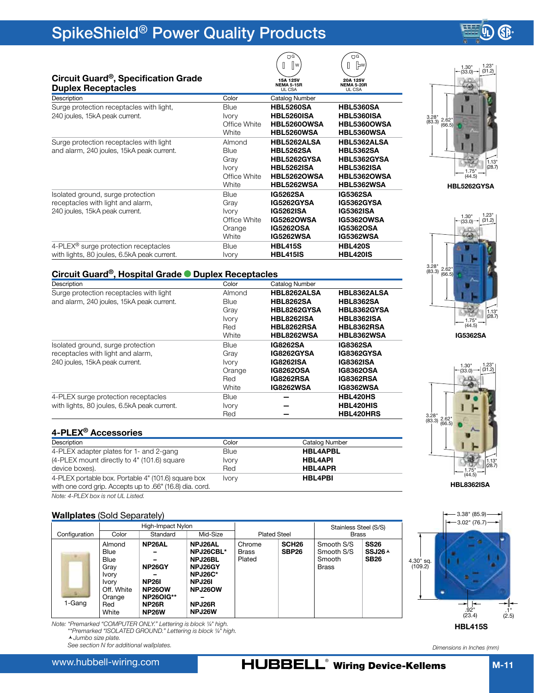

1.23"

## <span id="page-10-0"></span>**Circuit Guard®, Specification Grade**

| Description<br>Catalog Number<br>Color<br><b>HBL5260SA</b><br>Surge protection receptacles with light,<br><b>HBL5360SA</b><br><b>Blue</b><br><b>HBL5260ISA</b><br><b>HBL5360ISA</b><br>240 joules, 15kA peak current.<br><b>Ivory</b><br>Office White<br>HBL5260OWSA<br>HBL5360OWSA<br>White<br>HBL5360WSA<br><b>HBL5260WSA</b><br>HBL5262ALSA<br>HBL5362ALSA<br>Surge protection receptacles with light<br>Almond<br>and alarm, 240 joules, 15kA peak current.<br><b>HBL5262SA</b><br><b>HBL5362SA</b><br><b>Blue</b><br>HBL5262GYSA<br>HBL5362GYSA<br>Gray<br><b>HBL5262ISA</b><br><b>HBL5362ISA</b><br><b>Ivory</b><br>HBL5262OWSA<br>HBL5362OWSA<br>Office White<br>White<br>HBL5262WSA<br><b>HBL5362WSA</b><br><b>IG5262SA</b><br><b>IG5362SA</b><br>Isolated ground, surge protection<br>Blue<br>IG5262GYSA<br>IG5362GYSA<br>receptacles with light and alarm,<br>Gray<br><b>IG5362ISA</b><br>240 joules, 15kA peak current.<br><b>IG5262ISA</b><br><b>Ivory</b><br><b>IG5262OWSA</b><br>Office White<br><b>IG5362OWSA</b><br><b>IG5262OSA</b><br><b>IG5362OSA</b><br>Orange<br>White<br><b>IG5262WSA</b><br><b>IG5362WSA</b><br>4-PLEX <sup>®</sup> surge protection receptacles<br><b>HBL415S</b><br><b>HBL420S</b><br><b>Blue</b><br>with lights, 80 joules, 6.5kA peak current.<br><b>HBL415IS</b><br><b>HBL420IS</b><br><b>Ivory</b> | Circuit Guard , Specification Grade<br><b>Duplex Receptacles</b> | 15A 125V<br><b>NEMA 5-15R</b><br>UL CSA | 20A 125V<br><b>NEMA 5-20R</b><br>UL CSA |
|-------------------------------------------------------------------------------------------------------------------------------------------------------------------------------------------------------------------------------------------------------------------------------------------------------------------------------------------------------------------------------------------------------------------------------------------------------------------------------------------------------------------------------------------------------------------------------------------------------------------------------------------------------------------------------------------------------------------------------------------------------------------------------------------------------------------------------------------------------------------------------------------------------------------------------------------------------------------------------------------------------------------------------------------------------------------------------------------------------------------------------------------------------------------------------------------------------------------------------------------------------------------------------------------------------------------------------------------------|------------------------------------------------------------------|-----------------------------------------|-----------------------------------------|
|                                                                                                                                                                                                                                                                                                                                                                                                                                                                                                                                                                                                                                                                                                                                                                                                                                                                                                                                                                                                                                                                                                                                                                                                                                                                                                                                                 |                                                                  |                                         |                                         |
|                                                                                                                                                                                                                                                                                                                                                                                                                                                                                                                                                                                                                                                                                                                                                                                                                                                                                                                                                                                                                                                                                                                                                                                                                                                                                                                                                 |                                                                  |                                         |                                         |
|                                                                                                                                                                                                                                                                                                                                                                                                                                                                                                                                                                                                                                                                                                                                                                                                                                                                                                                                                                                                                                                                                                                                                                                                                                                                                                                                                 |                                                                  |                                         |                                         |
|                                                                                                                                                                                                                                                                                                                                                                                                                                                                                                                                                                                                                                                                                                                                                                                                                                                                                                                                                                                                                                                                                                                                                                                                                                                                                                                                                 |                                                                  |                                         |                                         |
|                                                                                                                                                                                                                                                                                                                                                                                                                                                                                                                                                                                                                                                                                                                                                                                                                                                                                                                                                                                                                                                                                                                                                                                                                                                                                                                                                 |                                                                  |                                         |                                         |
|                                                                                                                                                                                                                                                                                                                                                                                                                                                                                                                                                                                                                                                                                                                                                                                                                                                                                                                                                                                                                                                                                                                                                                                                                                                                                                                                                 |                                                                  |                                         |                                         |
|                                                                                                                                                                                                                                                                                                                                                                                                                                                                                                                                                                                                                                                                                                                                                                                                                                                                                                                                                                                                                                                                                                                                                                                                                                                                                                                                                 |                                                                  |                                         |                                         |
|                                                                                                                                                                                                                                                                                                                                                                                                                                                                                                                                                                                                                                                                                                                                                                                                                                                                                                                                                                                                                                                                                                                                                                                                                                                                                                                                                 |                                                                  |                                         |                                         |
|                                                                                                                                                                                                                                                                                                                                                                                                                                                                                                                                                                                                                                                                                                                                                                                                                                                                                                                                                                                                                                                                                                                                                                                                                                                                                                                                                 |                                                                  |                                         |                                         |
|                                                                                                                                                                                                                                                                                                                                                                                                                                                                                                                                                                                                                                                                                                                                                                                                                                                                                                                                                                                                                                                                                                                                                                                                                                                                                                                                                 |                                                                  |                                         |                                         |
|                                                                                                                                                                                                                                                                                                                                                                                                                                                                                                                                                                                                                                                                                                                                                                                                                                                                                                                                                                                                                                                                                                                                                                                                                                                                                                                                                 |                                                                  |                                         |                                         |
|                                                                                                                                                                                                                                                                                                                                                                                                                                                                                                                                                                                                                                                                                                                                                                                                                                                                                                                                                                                                                                                                                                                                                                                                                                                                                                                                                 |                                                                  |                                         |                                         |
|                                                                                                                                                                                                                                                                                                                                                                                                                                                                                                                                                                                                                                                                                                                                                                                                                                                                                                                                                                                                                                                                                                                                                                                                                                                                                                                                                 |                                                                  |                                         |                                         |
|                                                                                                                                                                                                                                                                                                                                                                                                                                                                                                                                                                                                                                                                                                                                                                                                                                                                                                                                                                                                                                                                                                                                                                                                                                                                                                                                                 |                                                                  |                                         |                                         |
|                                                                                                                                                                                                                                                                                                                                                                                                                                                                                                                                                                                                                                                                                                                                                                                                                                                                                                                                                                                                                                                                                                                                                                                                                                                                                                                                                 |                                                                  |                                         |                                         |
|                                                                                                                                                                                                                                                                                                                                                                                                                                                                                                                                                                                                                                                                                                                                                                                                                                                                                                                                                                                                                                                                                                                                                                                                                                                                                                                                                 |                                                                  |                                         |                                         |
|                                                                                                                                                                                                                                                                                                                                                                                                                                                                                                                                                                                                                                                                                                                                                                                                                                                                                                                                                                                                                                                                                                                                                                                                                                                                                                                                                 |                                                                  |                                         |                                         |
|                                                                                                                                                                                                                                                                                                                                                                                                                                                                                                                                                                                                                                                                                                                                                                                                                                                                                                                                                                                                                                                                                                                                                                                                                                                                                                                                                 |                                                                  |                                         |                                         |
|                                                                                                                                                                                                                                                                                                                                                                                                                                                                                                                                                                                                                                                                                                                                                                                                                                                                                                                                                                                                                                                                                                                                                                                                                                                                                                                                                 |                                                                  |                                         |                                         |

## **Circuit Guard®, Hospital Grade Duplex Receptacles**

| Description                                 | Color        | Catalog Number    |                   |
|---------------------------------------------|--------------|-------------------|-------------------|
| Surge protection receptacles with light     | Almond       | HBL8262ALSA       | HBL8362ALSA       |
| and alarm, 240 joules, 15kA peak current.   | <b>Blue</b>  | <b>HBL8262SA</b>  | <b>HBL8362SA</b>  |
|                                             | Gray         | HBL8262GYSA       | HBL8362GYSA       |
|                                             | <b>Ivory</b> | <b>HBL8262ISA</b> | <b>HBL8362ISA</b> |
|                                             | Red          | HBL8262RSA        | HBL8362RSA        |
|                                             | White        | HBL8262WSA        | <b>HBL8362WSA</b> |
| Isolated ground, surge protection           | <b>Blue</b>  | <b>IG8262SA</b>   | IG8362SA          |
| receptacles with light and alarm,           | Gray         | <b>IG8262GYSA</b> | <b>IG8362GYSA</b> |
| 240 joules, 15kA peak current.              | <b>Ivory</b> | <b>IG8262ISA</b>  | <b>IG8362ISA</b>  |
|                                             | Orange       | <b>IG8262OSA</b>  | <b>IG8362OSA</b>  |
|                                             | Red          | <b>IG8262RSA</b>  | <b>IG8362RSA</b>  |
|                                             | White        | <b>IG8262WSA</b>  | <b>IG8362WSA</b>  |
| 4-PLEX surge protection receptacles         | <b>Blue</b>  |                   | HBL420HS          |
| with lights, 80 joules, 6.5kA peak current. | <b>Ivory</b> |                   | HBL420HIS         |
|                                             | Red          |                   | HBL420HRS         |

### **4-PLEX® Accessories**

| Description                                              | Color        | Catalog Number  |
|----------------------------------------------------------|--------------|-----------------|
| 4-PLEX adapter plates for 1- and 2-gang                  | Blue         | <b>HBL4APBL</b> |
| (4-PLEX mount directly to 4" (101.6) square              | <b>Ivory</b> | <b>HBL4API</b>  |
| device boxes).                                           | Red          | <b>HBL4APR</b>  |
| 4-PLEX portable box. Portable 4" (101.6) square box      | <b>Ivory</b> | <b>HBL4PBI</b>  |
| with one cord grip. Accepts up to .66" (16.8) dia. cord. |              |                 |
|                                                          |              |                 |

*Note: 4-PLEX box is not UL Listed.*

## **Wallplates** (Sold Separately)

|               |                                                                                                 | High-Impact Nylon                                                                                                        |                                                                                                       |                                  |                                        | Stainless Steel (S/S)                              |                                                  |
|---------------|-------------------------------------------------------------------------------------------------|--------------------------------------------------------------------------------------------------------------------------|-------------------------------------------------------------------------------------------------------|----------------------------------|----------------------------------------|----------------------------------------------------|--------------------------------------------------|
| Configuration | Color                                                                                           | Standard                                                                                                                 | Mid-Size                                                                                              | <b>Plated Steel</b>              |                                        | <b>Brass</b>                                       |                                                  |
| 1-Gang        | Almond<br><b>Blue</b><br>Blue<br>Grav<br>Ivory<br>Ivory<br>Off. White<br>Orange<br>Red<br>White | NP <sub>26</sub> AL<br>NP26GY<br><b>NP261</b><br><b>NP26OW</b><br><b>NP26OIG**</b><br>NP <sub>26</sub> R<br><b>NP26W</b> | <b>NPJ26AL</b><br>NPJ26CBL*<br>NPJ26BL<br>NPJ26GY<br>NPJ26C*<br>NPJ26I<br>NPJ26OW<br>NPJ26R<br>NPJ26W | Chrome<br><b>Brass</b><br>Plated | SCH <sub>26</sub><br>SBP <sub>26</sub> | Smooth S/S<br>Smooth S/S<br>Smooth<br><b>Brass</b> | <b>SS26</b><br>SSJ26 <sup>A</sup><br><b>SB26</b> |

*Note: \*Premarked "COMPUTER ONLY." Lettering is block ¼" high.* 

*\*\*Premarked "ISOLATED GROUND." Lettering is block ¼" high. Jumbo size plate.*

*See section N for additional wallplates.*

www.hubbell-wiring.com



**O**  $[]$   $]$ 

G W





**HBL8362ISA**



*Dimensions in Inches (mm)*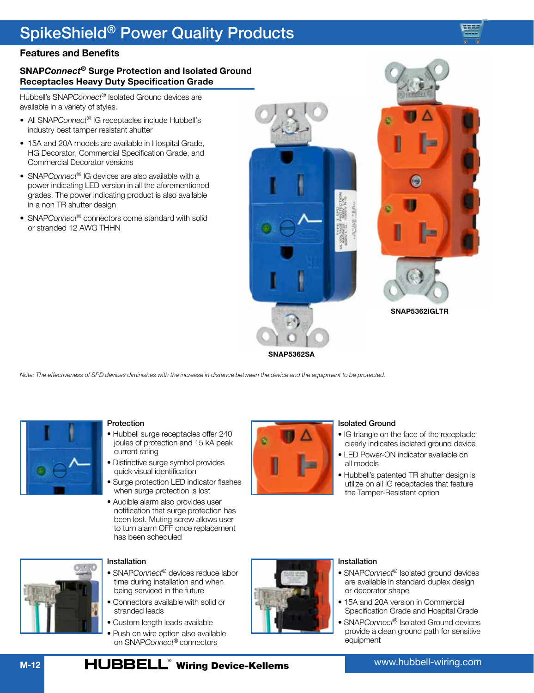

## **SNAP***Connect®* **Surge Protection and Isolated Ground Receptacles Heavy Duty Specification Grade**

Hubbell's SNAP*Connect®* Isolated Ground devices are available in a variety of styles.

- All SNAP*Connect®* IG receptacles include Hubbell's industry best tamper resistant shutter
- 15A and 20A models are available in Hospital Grade, HG Decorator, Commercial Specification Grade, and Commercial Decorator versions
- SNAP*Connect®* IG devices are also available with a power indicating LED version in all the aforementioned grades. The power indicating product is also available in a non TR shutter design
- SNAP*Connect®* connectors come standard with solid or stranded 12 AWG THHN





**SNAP5362IGLTR**

*Note: The effectiveness of SPD devices diminishes with the increase in distance between the device and the equipment to be protected.*



### Protection

- Hubbell surge receptacles offer 240 joules of protection and 15 kA peak current rating
- Distinctive surge symbol provides quick visual identification
- Surge protection LED indicator flashes when surge protection is lost
- Audible alarm also provides user notification that surge protection has been lost. Muting screw allows user to turn alarm OFF once replacement has been scheduled



#### Isolated Ground

- IG triangle on the face of the receptacle clearly indicates isolated ground device
- LED Power-ON indicator available on all models
- Hubbell's patented TR shutter design is utilize on all IG receptacles that feature the Tamper-Resistant option



## Installation

- SNAP*Connect®* devices reduce labor time during installation and when being serviced in the future
- Connectors available with solid or stranded leads
- Custom length leads available
- Push on wire option also available on SNAP*Connect®* connectors



### Installation

- SNAP*Connect®* Isolated ground devices are available in standard duplex design or decorator shape
- 15A and 20A version in Commercial Specification Grade and Hospital Grade
- SNAP*Connect®* Isolated Ground devices provide a clean ground path for sensitive equipment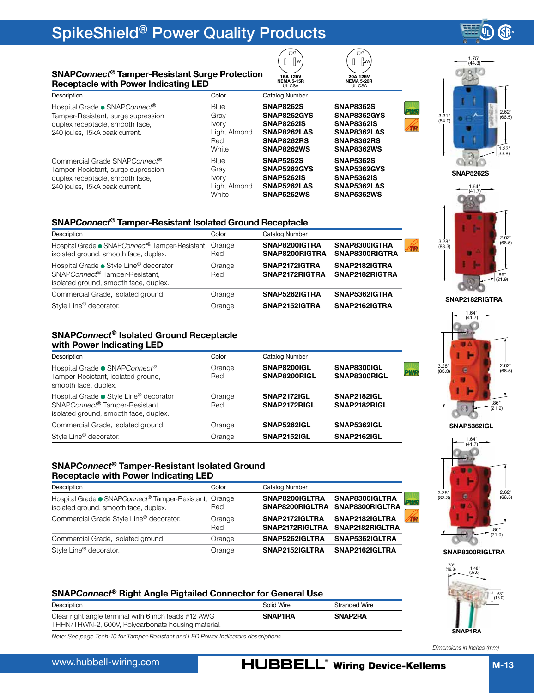#### <span id="page-12-0"></span>**SNAP***Connect***® Tamper-Resistant Surge Protection Receptacle with Power Indicating LED**

| Description                                                                                                                                          | Color                                                               | Catalog Number                                                                                                |                                                                                                               |
|------------------------------------------------------------------------------------------------------------------------------------------------------|---------------------------------------------------------------------|---------------------------------------------------------------------------------------------------------------|---------------------------------------------------------------------------------------------------------------|
| Hospital Grade • SNAPConnect®<br>Tamper-Resistant, surge supression<br>duplex receptacle, smooth face,<br>240 joules, 15kA peak current.             | <b>Blue</b><br>Gray<br><b>Ivory</b><br>Light Almond<br>Red<br>White | <b>SNAP8262S</b><br>SNAP8262GYS<br><b>SNAP8262IS</b><br>SNAP8262LAS<br><b>SNAP8262RS</b><br><b>SNAP8262WS</b> | <b>SNAP8362S</b><br>SNAP8362GYS<br><b>SNAP8362IS</b><br>SNAP8362LAS<br><b>SNAP8362RS</b><br><b>SNAP8362WS</b> |
| Commercial Grade SNAPConnect <sup>®</sup><br>Tamper-Resistant, surge supression<br>duplex receptacle, smooth face,<br>240 joules, 15kA peak current. | <b>Blue</b><br>Gray<br><b>Ivory</b><br>Light Almond<br>White        | <b>SNAP5262S</b><br>SNAP5262GYS<br><b>SNAP5262IS</b><br>SNAP5262LAS<br><b>SNAP5262WS</b>                      | <b>SNAP5362S</b><br>SNAP5362GYS<br><b>SNAP5362IS</b><br>SNAP5362LAS<br><b>SNAP5362WS</b>                      |

### **SNAP***Connect***® Tamper-Resistant Isolated Ground Receptacle**

| Description                                                                                                       | Color         | Catalog Number                                                     |  |
|-------------------------------------------------------------------------------------------------------------------|---------------|--------------------------------------------------------------------|--|
| Hospital Grade • SNAPConnect <sup>®</sup> Tamper-Resistant,<br>isolated ground, smooth face, duplex.              | Orange<br>Red | SNAP8300IGTRA<br>SNAP8200IGTRA<br>SNAP8300RIGTRA<br>SNAP8200RIGTRA |  |
| Hospital Grade • Style Line® decorator<br>SNAPConnect® Tamper-Resistant,<br>isolated ground, smooth face, duplex. | Orange<br>Red | SNAP2172IGTRA<br>SNAP2182IGTRA<br>SNAP2172RIGTRA<br>SNAP2182RIGTRA |  |
| Commercial Grade, isolated ground.                                                                                | Orange        | SNAP5362IGTRA<br>SNAP5262IGTRA                                     |  |
| Style Line® decorator.                                                                                            | Orange        | SNAP2152IGTRA<br>SNAP2162IGTRA                                     |  |

### **SNAP***Connect***® Isolated Ground Receptacle with Power Indicating LED**

| Description                                                                                                       | Color         | Catalog Number                     |                                    |            |
|-------------------------------------------------------------------------------------------------------------------|---------------|------------------------------------|------------------------------------|------------|
| Hospital Grade ● SNAPConnect <sup>®</sup><br>Tamper-Resistant, isolated ground,<br>smooth face, duplex.           | Orange<br>Red | SNAP8200IGL<br>SNAP8200RIGL        | SNAP8300IGL<br>SNAP8300RIGL        | <b>PWR</b> |
| Hospital Grade ● Style Line® decorator<br>SNAPConnect® Tamper-Resistant,<br>isolated ground, smooth face, duplex. | Orange<br>Red | <b>SNAP2172IGL</b><br>SNAP2172RIGL | <b>SNAP2182IGL</b><br>SNAP2182RIGL |            |
| Commercial Grade, isolated ground.                                                                                | Orange        | SNAP5262IGL                        | <b>SNAP5362IGL</b>                 |            |
| Style Line <sup>®</sup> decorator.                                                                                | Orange        | <b>SNAP2152IGL</b>                 | <b>SNAP2162IGL</b>                 |            |

### **SNAP***Connect***® Tamper-Resistant Isolated Ground Receptacle with Power Indicating LED**

| Description                                                                                          | Color         | Catalog Number                    |                                                   |            |
|------------------------------------------------------------------------------------------------------|---------------|-----------------------------------|---------------------------------------------------|------------|
| Hospital Grade • SNAPConnect <sup>®</sup> Tamper-Resistant,<br>isolated ground, smooth face, duplex. | Orange<br>Red | SNAP8200IGLTRA                    | SNAP8300IGLTRA<br>SNAP8200RIGLTRA SNAP8300RIGLTRA | <b>PWR</b> |
| Commercial Grade Style Line® decorator.                                                              | Orange<br>Red | SNAP2172IGLTRA<br>SNAP2172RIGLTRA | SNAP2182IGLTRA<br>SNAP2182RIGLTRA                 |            |
| Commercial Grade, isolated ground.                                                                   | Orange        | SNAP5262IGLTRA                    | SNAP5362IGLTRA                                    |            |
| Style Line® decorator.                                                                               | Orange        | SNAP2152IGLTRA                    | SNAP2162IGLTRA                                    |            |

## **SNAP***Connect***® Right Angle Pigtailed Connector for General Use**

| Description                                                                                                | Solid Wire | Stranded Wire |
|------------------------------------------------------------------------------------------------------------|------------|---------------|
| Clear right angle terminal with 6 inch leads #12 AWG<br>THHN/THWN-2, 600V, Polycarbonate housing material. | SNAP1RA    | SNAP2RA       |

*Note: See page Tech-10 for Tamper-Resistant and LED Power Indicators descriptions.* 



GP

**SNAP5262S**



**SNAP2182RIGTRA**

1.64" (41.7) 3.28" (83.3) 2.62" (66.5)  $\bullet$  .86" (21.9) **SNAP5362IGL**



**SNAP8300RIGLTRA**



*Dimensions in Inches (mm)*

20A 125V **NEMA 5-20R** UL CSA

15A 125V **NEMA 5-15R** UL CSA

**D**G  $[]$   $[]$  w

**DG**  $\mathbb{I}$   $\mathbb{F}$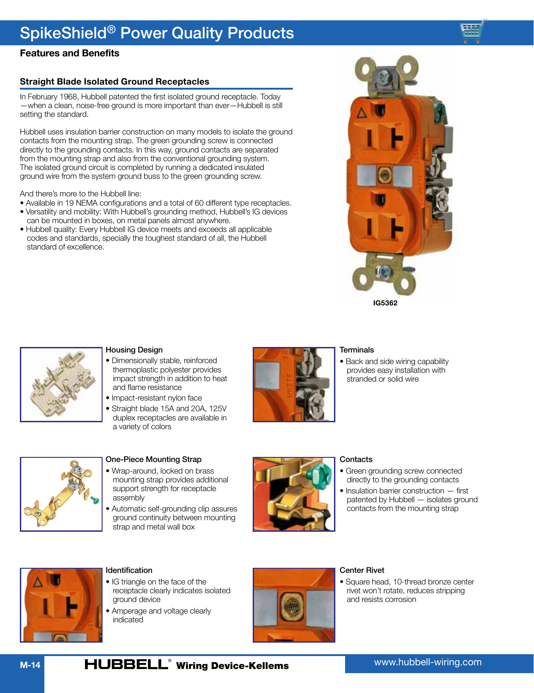## **Features and Benefits**

## **Straight Blade Isolated Ground Receptacles**

In February 1968, Hubbell patented the first isolated ground receptacle. Today —when a clean, noise-free ground is more important than ever—Hubbell is still setting the standard.

Hubbell uses insulation barrier construction on many models to isolate the ground contacts from the mounting strap. The green grounding screw is connected directly to the grounding contacts. In this way, ground contacts are separated from the mounting strap and also from the conventional grounding system. The isolated ground circuit is completed by running a dedicated insulated ground wire from the system ground buss to the green grounding screw.

And there's more to the Hubbell line:

- Available in 19 NEMA configurations and a total of 60 different type receptacles.
- Versatility and mobility: With Hubbell's grounding method, Hubbell's IG devices can be mounted in boxes, on metal panels almost anywhere.
- Hubbell quality: Every Hubbell IG device meets and exceeds all applicable codes and standards, specially the toughest standard of all, the Hubbell standard of excellence.





### Housing Design

- Dimensionally stable, reinforced thermoplastic polyester provides impact strength in addition to heat and flame resistance
- Impact-resistant nylon face
- Straight blade 15A and 20A, 125V duplex receptacles are available in a variety of colors



#### **Terminals**

• Back and side wiring capability provides easy installation with stranded or solid wire



## One-Piece Mounting Strap

- Wrap-around, locked on brass mounting strap provides additional support strength for receptacle assembly
- Automatic self-grounding clip assures ground continuity between mounting strap and metal wall box



### **Contacts**

- Green grounding screw connected directly to the grounding contacts
- Insulation barrier construction first patented by Hubbell — isolates ground contacts from the mounting strap



### Identification

- IG triangle on the face of the receptacle clearly indicates isolated ground device
- Amperage and voltage clearly indicated



### Center Rivet

• Square head, 10-thread bronze center rivet won't rotate, reduces stripping and resists corrosion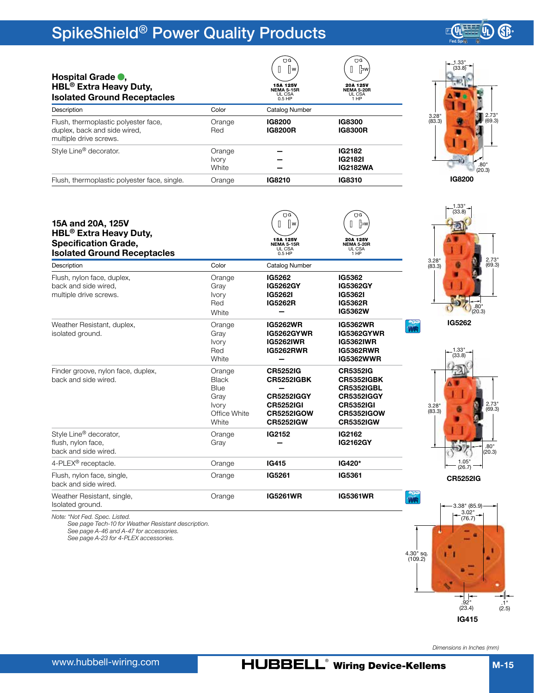

| .28"<br>(3.3) |        | 2.73"<br>(69.3) |
|---------------|--------|-----------------|
|               |        |                 |
|               | IG8200 | .80"<br>(20.3)  |

**GP** 

| Flush, thermoplastic polyester face, single.                                 | Orange                                         | IG8210                                                   | IG8310                                                     |
|------------------------------------------------------------------------------|------------------------------------------------|----------------------------------------------------------|------------------------------------------------------------|
| 15A and 20A, 125V<br>HBL <sup>®</sup> Extra Heavy Duty,                      |                                                | ΠG<br>ll w<br>15A 125V                                   | ΠG<br>  ⇒w<br>20A 125V                                     |
| <b>Specification Grade,</b><br><b>Isolated Ground Receptacles</b>            |                                                | <b>NEMA 5-15R</b><br>UL CSA<br>$0.5$ HP                  | <b>NEMA 5-20R</b><br>UL CSA<br>1 HP                        |
| Description                                                                  | Color                                          | Catalog Number                                           |                                                            |
| Flush, nylon face, duplex,<br>back and side wired,<br>multiple drive screws. | Orange<br>Gray<br><b>Ivory</b><br>Red<br>White | IG5262<br><b>IG5262GY</b><br>IG5262I<br><b>IG5262R</b>   | IG5362<br>IG5362GY<br>IG5362I<br><b>IG5362R</b><br>IG5362W |
| Weather Resistant, duplex,<br>isolated ground.                               | Orange<br>Gray<br><b>Ivory</b>                 | <b>IG5262WR</b><br><b>IG5262GYWR</b><br><b>IG5262IWR</b> | <b>IG5362WR</b><br>IG5362GYWR<br><b>IG5362IWR</b>          |

Red **White** 

Orange Black Blue Gray Ivory Office White White

Orange Gray

4-PLEX® receptacle. Orange **[IG415](http://ecatalog.hubbell-wiring.com/productinformation/specsheets/3A/Live/PDF/IG415_cart.pdf) [IG420\\*](http://ecatalog.hubbell-wiring.com/productinformation/specsheets/3A/Live/PDF/IG420_cart.pdf)**

**[IG5262RWR](http://ecatalog.hubbell-wiring.com/productinformation/specsheets/3A/Live/PDF/IG5262RWR_cart.pdf) —**

σğ

 $\mathbb{I}$   $\mathbb{I}^{\mathsf{v}}$ 

**[CR5252IG](http://ecatalog.hubbell-wiring.com/productinformation/specsheets/3A/Live/PDF/CR5252IG_cart.pdf) [CR5252IGBK](http://ecatalog.hubbell-wiring.com/productinformation/specsheets/3A/Live/PDF/CR5252IGBK_cart.pdf) — [CR5252IGGY](http://ecatalog.hubbell-wiring.com/productinformation/specsheets/3A/Live/PDF/CR5252IGGY_cart.pdf) [CR5252IGI](http://ecatalog.hubbell-wiring.com/productinformation/specsheets/3A/Live/PDF/CR5252IGI_cart.pdf) [CR5252IGOW](http://ecatalog.hubbell-wiring.com/productinformation/specsheets/3A/Live/PDF/CR5252IGOW_cart.pdf) [CR5252IGW](http://ecatalog.hubbell-wiring.com/productinformation/specsheets/3A/Live/PDF/CR5252IGW_cart.pdf)**

**[IG2152](http://ecatalog.hubbell-wiring.com/productinformation/specsheets/3A/Live/PDF/IG2152_cart.pdf) —**

Orange **[IG5261](http://ecatalog.hubbell-wiring.com/productinformation/specsheets/3A/Live/PDF/IG5261_cart.pdf) [IG5361](http://ecatalog.hubbell-wiring.com/productinformation/specsheets/3A/Live/PDF/IG5361_cart.pdf)**

Orange **[IG5261WR](http://ecatalog.hubbell-wiring.com/productinformation/specsheets/3A/Live/PDF/IG5261WR_cart.pdf) [IG5361WR](http://ecatalog.hubbell-wiring.com/productinformation/specsheets/3A/Live/PDF/IG5361WR_cart.pdf)**

**[IG5362RWR](http://ecatalog.hubbell-wiring.com/productinformation/specsheets/3A/Live/PDF/IG5362RWR_cart.pdf) [IG5362WWR](http://ecatalog.hubbell-wiring.com/productinformation/specsheets/3A/Live/PDF/IG5362WWR_cart.pdf)** *WR*

*WR*

20A 125V **NEMA 5-20R** UL CSA 1 HP

์ บิด  $[]$   $]$ 

**[CR5352IG](http://ecatalog.hubbell-wiring.com/productinformation/specsheets/3A/Live/PDF/CR5352IG_cart.pdf) [CR5352IGBK](http://ecatalog.hubbell-wiring.com/productinformation/specsheets/3A/Live/PDF/CR5352IGBK_cart.pdf) [CR5352IGBL](http://ecatalog.hubbell-wiring.com/productinformation/specsheets/3A/Live/PDF/CR5352IGBL_cart.pdf) [CR5352IGGY](http://ecatalog.hubbell-wiring.com/productinformation/specsheets/3A/Live/PDF/CR5352IGGY_cart.pdf) [CR5352IGI](http://ecatalog.hubbell-wiring.com/productinformation/specsheets/3A/Live/PDF/CR5352IGI_cart.pdf) [CR5352IGOW](http://ecatalog.hubbell-wiring.com/productinformation/specsheets/3A/Live/PDF/CR5352IGOW_cart.pdf) [CR5352IGW](http://ecatalog.hubbell-wiring.com/productinformation/specsheets/3A/Live/PDF/CR5352IGW_cart.pdf)**

**[IG2162](http://ecatalog.hubbell-wiring.com/productinformation/specsheets/3A/Live/PDF/IG2162_cart.pdf) [IG2162GY](http://ecatalog.hubbell-wiring.com/productinformation/specsheets/3A/Live/PDF/IG2162GY_cart.pdf)**





3.38" (85.9)

Isolated ground. *Note: \*Not Fed. Spec. Listed.*

Flush, nylon face, single, back and side wired.

Weather Resistant, single,

Finder groove, nylon face, duplex,

back and side wired.

<span id="page-14-0"></span>**Hospital Grade .** 

Style Line® decorator, flush, nylon face, back and side wired.

> *See page Tech-10 for Weather Resistant description. See page A-46 and A-47 for accessories. See page A-23 for 4-PLEX accessories.*



*Dimensions in Inches (mm)*

.92" (23.4)

**[IG415](http://ecatalog.hubbell-wiring.com/productinformation/specsheets/3A/Live/PDF/IG415_cart.pdf)**

**HBL® Extra Heavy Duty, Isolated Ground Receptacles Description** Color Catalog Number 15A 125V **NEMA 5-15R** UL CSA 0.5 HP

| Flush, thermoplastic polyester face,<br>duplex, back and side wired,<br>multiple drive screws. | Orange<br>Red | IG8200<br><b>IG8200R</b> | <b>IG8300</b><br><b>IG8300R</b> |
|------------------------------------------------------------------------------------------------|---------------|--------------------------|---------------------------------|
| Style Line <sup>®</sup> decorator.                                                             | Orange        |                          | IG2182                          |
|                                                                                                | <b>Ivory</b>  |                          | IG2182I                         |
|                                                                                                | White         |                          | <b>IG2182WA</b>                 |
| Flush, thermoplastic polyester face, single.                                                   | Orange        | IG8210                   | IG8310                          |
|                                                                                                |               |                          |                                 |

www.hubbell-wiring.com

.1" (2.5)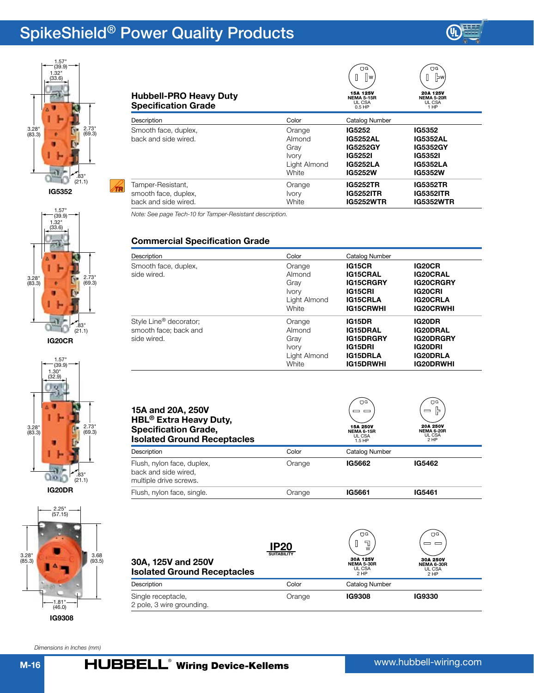



**[IG5352](http://ecatalog.hubbell-wiring.com/productinformation/specsheets/3A/Live/PDF/IG5352_cart.pdf)**









| Dimensions in Inches (mm) |  |  |  |  |
|---------------------------|--|--|--|--|
|---------------------------|--|--|--|--|

| <b>Hubbell-PRO Heavy Duty</b><br><b>Specification Grade</b> |              | ΠG<br>   w<br>15A 125V<br><b>NEMA 5-15R</b><br>UL CSA<br>$0.5$ HP | ΠG<br> של <br>20A 125V<br><b>NEMA 5-20R</b><br>UL CSA<br>1 HP |
|-------------------------------------------------------------|--------------|-------------------------------------------------------------------|---------------------------------------------------------------|
| Description                                                 | Color        | Catalog Number                                                    |                                                               |
| Smooth face, duplex,                                        | Orange       | IG5252                                                            | IG5352                                                        |
| back and side wired.                                        | Almond       | <b>IG5252AL</b>                                                   | <b>IG5352AL</b>                                               |
|                                                             | Gray         | <b>IG5252GY</b>                                                   | <b>IG5352GY</b>                                               |
|                                                             | <b>Ivory</b> | IG5252I                                                           | <b>IG53521</b>                                                |
|                                                             | Light Almond | <b>IG5252LA</b>                                                   | IG5352LA                                                      |
|                                                             | White        | IG5252W                                                           | IG5352W                                                       |
| Tamper-Resistant,                                           | Orange       | <b>IG5252TR</b>                                                   | <b>IG5352TR</b>                                               |
| smooth face, duplex,                                        | <b>Ivory</b> | <b>IG5252ITR</b>                                                  | <b>IG5352ITR</b>                                              |
| back and side wired.                                        | White        | <b>IG5252WTR</b>                                                  | <b>IG5352WTR</b>                                              |

*Note: See page Tech-10 for Tamper-Resistant description.*

## **Commercial Specification Grade**

| Description                                                                | Color                                                             | Catalog Number                                                                                         |                                                                                                               |
|----------------------------------------------------------------------------|-------------------------------------------------------------------|--------------------------------------------------------------------------------------------------------|---------------------------------------------------------------------------------------------------------------|
| Smooth face, duplex,<br>side wired.                                        | Orange<br>Almond<br>Grav<br><b>Ivory</b><br>Light Almond<br>White | <b>IG15CR</b><br><b>IG15CRAL</b><br><b>IG15CRGRY</b><br>IG15CRI<br><b>IG15CRLA</b><br><b>IG15CRWHI</b> | <b>IG20CR</b><br><b>IG20CRAL</b><br><b>IG20CRGRY</b><br><b>IG20CRI</b><br><b>IG20CRLA</b><br><b>IG20CRWHI</b> |
| Style Line <sup>®</sup> decorator;<br>smooth face; back and<br>side wired. | Orange<br>Almond<br>Grav<br><b>Ivory</b><br>Light Almond<br>White | <b>IG15DR</b><br>IG15DRAL<br><b>IG15DRGRY</b><br>IG15DRI<br><b>IG15DRLA</b><br>IG15DRWHI               | <b>IG20DR</b><br><b>IG20DRAL</b><br><b>IG20DRGRY</b><br><b>IG20DRI</b><br><b>IG20DRLA</b><br><b>IG20DRWHI</b> |

| 15A and 20A, 250V<br>HBL <sup>®</sup> Extra Heavy Duty,<br><b>Specification Grade,</b><br><b>Isolated Ground Receptacles</b> |        | UG<br>$\equiv$<br>15A 250V<br><b>NEMA 6-15R</b><br>UL CSA<br>1.5 HP | UG<br>ŀ<br>$\equiv$<br><b>20A 250V</b><br><b>NEMA 6-20R</b><br>UL CSA<br>2 HP |
|------------------------------------------------------------------------------------------------------------------------------|--------|---------------------------------------------------------------------|-------------------------------------------------------------------------------|
| Description                                                                                                                  | Color  | Catalog Number                                                      |                                                                               |
| Flush, nylon face, duplex,<br>back and side wired,<br>multiple drive screws.                                                 | Orange | IG5662                                                              | IG5462                                                                        |
| Flush, nylon face, single.                                                                                                   | Orange | IG5661                                                              | IG5461                                                                        |

| 30A, 125V and 250V<br><b>Isolated Ground Receptacles</b> | <b>IP20</b><br><b>SUITABILITY</b> | ΟG<br>뒨<br>W<br>30A 125V<br><b>NEMA 5-30R</b><br>UL CSA<br>2 HP | ΠG<br>-<br>30A 250V<br>NEMA 6-30R<br>UL CSA<br>2 HP |
|----------------------------------------------------------|-----------------------------------|-----------------------------------------------------------------|-----------------------------------------------------|
| Description                                              | Color                             | Catalog Number                                                  |                                                     |
| Single receptacle,<br>2 pole, 3 wire grounding.          | Orange                            | <b>IG9308</b>                                                   | IG9330                                              |

 $\overline{\phantom{a}}$ 

 $\overline{\phantom{a}}$ 

 $\frown$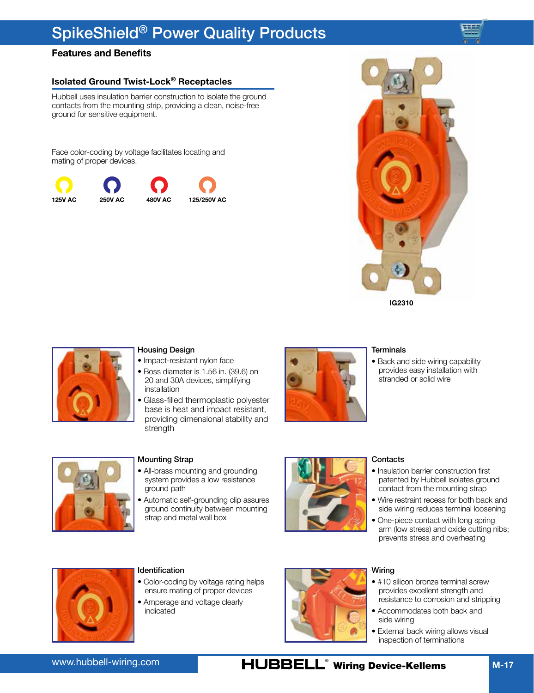## **Features and Benefits**

## **Isolated Ground Twist-Lock® Receptacles**

Hubbell uses insulation barrier construction to isolate the ground contacts from the mounting strip, providing a clean, noise-free ground for sensitive equipment.

Face color-coding by voltage facilitates locating and mating of proper devices.







### Housing Design

- Impact-resistant nylon face
- Boss diameter is 1.56 in. (39.6) on 20 and 30A devices, simplifying installation
- Glass-filled thermoplastic polyester base is heat and impact resistant, providing dimensional stability and strength



#### **Terminals**

• Back and side wiring capability provides easy installation with stranded or solid wire



#### Mounting Strap

- All-brass mounting and grounding system provides a low resistance ground path
- Automatic self-grounding clip assures ground continuity between mounting strap and metal wall box



## **Contacts**

- Insulation barrier construction first patented by Hubbell isolates ground contact from the mounting strap
- Wire restraint recess for both back and side wiring reduces terminal loosening
- One-piece contact with long spring arm (low stress) and oxide cutting nibs; prevents stress and overheating



### **Identification**

- Color-coding by voltage rating helps ensure mating of proper devices
- Amperage and voltage clearly indicated



#### Wiring

- #10 silicon bronze terminal screw provides excellent strength and resistance to corrosion and stripping
- Accommodates both back and side wiring
- External back wiring allows visual inspection of terminations

## HUBBELL<sup>®</sup> Wiring Device-Kellems